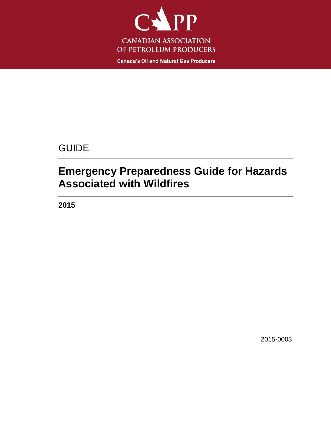

**Canada's Oil and Natural Gas Producers** 

# GUIDE

# **Emergency Preparedness Guide for Hazards Associated with Wildfires**

**2015**

2015-0003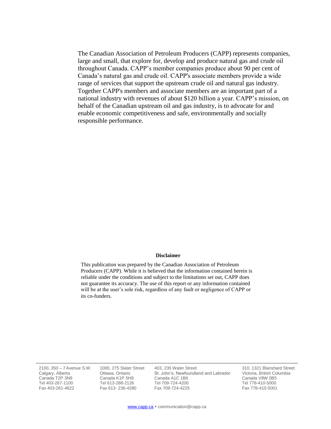The Canadian Association of Petroleum Producers (CAPP) represents companies, large and small, that explore for, develop and produce natural gas and crude oil throughout Canada. CAPP's member companies produce about 90 per cent of Canada's natural gas and crude oil. CAPP's associate members provide a wide range of services that support the upstream crude oil and natural gas industry. Together CAPP's members and associate members are an important part of a national industry with revenues of about \$120 billion a year. CAPP's mission, on behalf of the Canadian upstream oil and gas industry, is to advocate for and enable economic competitiveness and safe, environmentally and socially responsible performance.

#### **Disclaimer**

This publication was prepared by the Canadian Association of Petroleum Producers (CAPP). While it is believed that the information contained herein is reliable under the conditions and subject to the limitations set out, CAPP does not guarantee its accuracy. The use of this report or any information contained will be at the user's sole risk, regardless of any fault or negligence of CAPP or its co-funders.

2100, 350 – 7Avenue S.W. Calgary, Alberta Canada T2P 3N9 Tel 403-267-1100 Fax 403-261-4622

1000, 275 Slater Street Ottawa, Ontario Canada K1P 5H9 Tel 613-288-2126 Fax 613- 236-4280

403, 235 Water Street St. John's, Newfoundland and Labrador Canada A1C 1B6 Tel 709-724-4200 Fax 709-724-4225

310, 1321 Blanshard Street Victoria, British Columbia Canada V8W 0B5 Tel 778-410-5000 Fax 778-410-5001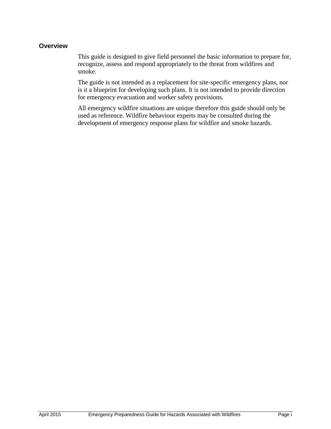#### **Overview**

This guide is designed to give field personnel the basic information to prepare for, recognize, assess and respond appropriately to the threat from wildfires and smoke.

The guide is not intended as a replacement for site-specific emergency plans, nor is it a blueprint for developing such plans. It is not intended to provide direction for emergency evacuation and worker safety provisions.

All emergency wildfire situations are unique therefore this guide should only be used as reference. Wildfire behaviour experts may be consulted during the development of emergency response plans for wildfire and smoke hazards.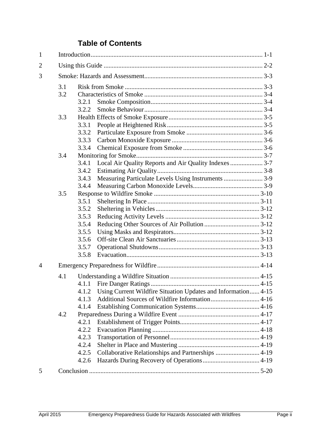### **Table of Contents**

| $\mathbf{1}$   |     |       |                                                                     |  |  |  |
|----------------|-----|-------|---------------------------------------------------------------------|--|--|--|
| $\overline{2}$ |     |       |                                                                     |  |  |  |
| 3              |     |       |                                                                     |  |  |  |
|                | 3.1 |       |                                                                     |  |  |  |
|                | 3.2 |       |                                                                     |  |  |  |
|                |     | 3.2.1 |                                                                     |  |  |  |
|                |     | 3.2.2 |                                                                     |  |  |  |
|                | 3.3 |       |                                                                     |  |  |  |
|                |     | 3.3.1 |                                                                     |  |  |  |
|                |     | 3.3.2 |                                                                     |  |  |  |
|                |     | 3.3.3 |                                                                     |  |  |  |
|                |     | 3.3.4 |                                                                     |  |  |  |
|                | 3.4 |       |                                                                     |  |  |  |
|                |     | 3.4.1 |                                                                     |  |  |  |
|                |     | 3.4.2 |                                                                     |  |  |  |
|                |     | 3.4.3 | Measuring Particulate Levels Using Instruments  3-9                 |  |  |  |
|                |     | 3.4.4 |                                                                     |  |  |  |
|                | 3.5 |       |                                                                     |  |  |  |
|                |     | 3.5.1 |                                                                     |  |  |  |
|                |     | 3.5.2 |                                                                     |  |  |  |
|                |     | 3.5.3 |                                                                     |  |  |  |
|                |     | 3.5.4 |                                                                     |  |  |  |
|                |     | 3.5.5 |                                                                     |  |  |  |
|                |     | 3.5.6 |                                                                     |  |  |  |
|                |     | 3.5.7 |                                                                     |  |  |  |
|                |     | 3.5.8 |                                                                     |  |  |  |
|                |     |       |                                                                     |  |  |  |
| $\overline{A}$ |     |       |                                                                     |  |  |  |
|                | 4.1 |       |                                                                     |  |  |  |
|                |     | 4.1.1 |                                                                     |  |  |  |
|                |     |       | 4.1.2 Using Current Wildfire Situation Updates and Information 4-15 |  |  |  |
|                |     | 4.1.3 |                                                                     |  |  |  |
|                |     | 4.1.4 |                                                                     |  |  |  |
|                | 4.2 |       |                                                                     |  |  |  |
|                |     | 4.2.1 |                                                                     |  |  |  |
|                |     | 4.2.2 |                                                                     |  |  |  |
|                |     | 4.2.3 |                                                                     |  |  |  |
|                |     | 4.2.4 |                                                                     |  |  |  |
|                |     | 4.2.5 | Collaborative Relationships and Partnerships  4-19                  |  |  |  |
|                |     | 4.2.6 |                                                                     |  |  |  |
|                |     |       |                                                                     |  |  |  |
| 5              |     |       |                                                                     |  |  |  |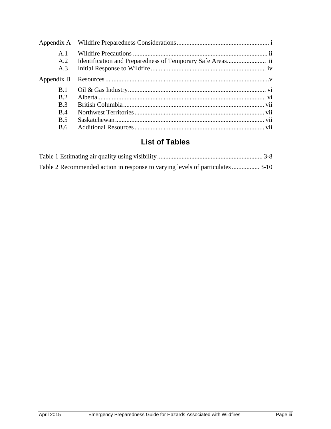| Appendix A                   |                                                             |  |
|------------------------------|-------------------------------------------------------------|--|
| A <sub>1</sub><br>A.2<br>A.3 | Identification and Preparedness of Temporary Safe Areas iii |  |
| Appendix B                   |                                                             |  |
| B.1                          |                                                             |  |
| B.2                          |                                                             |  |
| B <sub>3</sub>               |                                                             |  |
| <b>B.4</b>                   |                                                             |  |
| <b>B.5</b>                   |                                                             |  |
| <b>B.6</b>                   |                                                             |  |

### **List of Tables**

| Table 2 Recommended action in response to varying levels of particulates  3-10 |  |
|--------------------------------------------------------------------------------|--|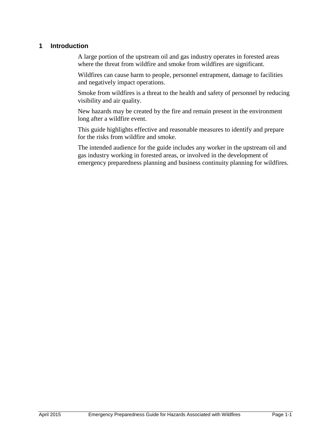#### **1 Introduction**

A large portion of the upstream oil and gas industry operates in forested areas where the threat from wildfire and smoke from wildfires are significant.

Wildfires can cause harm to people, personnel entrapment, damage to facilities and negatively impact operations.

Smoke from wildfires is a threat to the health and safety of personnel by reducing visibility and air quality.

New hazards may be created by the fire and remain present in the environment long after a wildfire event.

This guide highlights effective and reasonable measures to identify and prepare for the risks from wildfire and smoke.

The intended audience for the guide includes any worker in the upstream oil and gas industry working in forested areas, or involved in the development of emergency preparedness planning and business continuity planning for wildfires.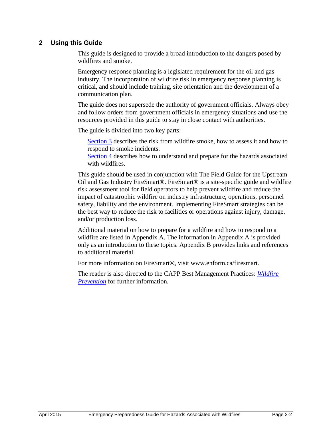#### **2 Using this Guide**

This guide is designed to provide a broad introduction to the dangers posed by wildfires and smoke.

Emergency response planning is a legislated requirement for the oil and gas industry. The incorporation of wildfire risk in emergency response planning is critical, and should include training, site orientation and the development of a communication plan.

The guide does not supersede the authority of government officials. Always obey and follow orders from government officials in emergency situations and use the resources provided in this guide to stay in close contact with authorities.

The guide is divided into two key parts:

[Section](#page-7-0) 3 describes the risk from wildfire smoke, how to assess it and how to respond to smoke incidents.

[Section 4](#page-18-0) describes how to understand and prepare for the hazards associated with wildfires.

This guide should be used in conjunction with The Field Guide for the Upstream Oil and Gas Industry FireSmart®. FireSmart® is a site-specific guide and wildfire risk assessment tool for field operators to help prevent wildfire and reduce the impact of catastrophic wildfire on industry infrastructure, operations, personnel safety, liability and the environment. Implementing FireSmart strategies can be the best way to reduce the risk to facilities or operations against injury, damage, and/or production loss.

Additional material on how to prepare for a wildfire and how to respond to a wildfire are listed in Appendix A. The information in Appendix A is provided only as an introduction to these topics. Appendix B provides links and references to additional material.

For more information on FireSmart®, visit [www.enform.ca/firesmart.](http://www.enform.ca/firesmart)

The reader is also directed to the CAPP Best Management Practices: *[Wildfire](http://www.capp.ca/getdoc.aspx?DocId=132380&DT=NTV)  [Prevention](http://www.capp.ca/getdoc.aspx?DocId=132380&DT=NTV)* for further information.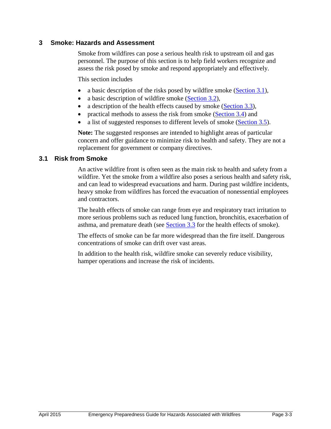#### <span id="page-7-0"></span>**3 Smoke: Hazards and Assessment**

Smoke from wildfires can pose a serious health risk to upstream oil and gas personnel. The purpose of this section is to help field workers recognize and assess the risk posed by smoke and respond appropriately and effectively.

This section includes

- a basic description of the risks posed by wildfire smoke (Section  $3.1$ ),
- a basic description of wildfire smoke [\(Section 3.2\)](#page-7-2),
- a description of the health effects caused by smoke (Section  $3.3$ ),
- practical methods to assess the risk from smoke [\(Section 3.4\)](#page-11-0) and
- a list of suggested responses to different levels of smoke [\(Section 3.5\)](#page-13-0).

**Note:** The suggested responses are intended to highlight areas of particular concern and offer guidance to minimize risk to health and safety. They are not a replacement for government or company directives.

#### <span id="page-7-1"></span>**3.1 Risk from Smoke**

An active wildfire front is often seen as the main risk to health and safety from a wildfire. Yet the smoke from a wildfire also poses a serious health and safety risk, and can lead to widespread evacuations and harm. During past wildfire incidents, heavy smoke from wildfires has forced the evacuation of nonessential employees and contractors.

The health effects of smoke can range from eye and respiratory tract irritation to more serious problems such as reduced lung function, bronchitis, exacerbation of asthma, and premature death (see **Section 3.3** for the health effects of smoke).

The effects of smoke can be far more widespread than the fire itself. Dangerous concentrations of smoke can drift over vast areas.

<span id="page-7-2"></span>In addition to the health risk, wildfire smoke can severely reduce visibility, hamper operations and increase the risk of incidents.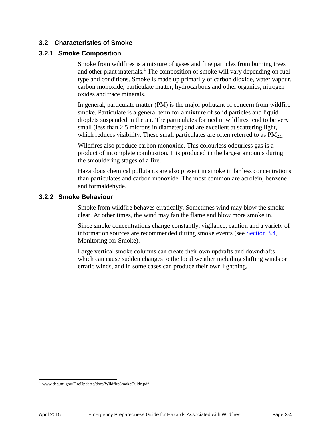#### **3.2 Characteristics of Smoke**

#### **3.2.1 Smoke Composition**

Smoke from wildfires is a mixture of gases and fine particles from burning trees and other plant materials.<sup>1</sup> The composition of smoke will vary depending on fuel type and conditions. Smoke is made up primarily of carbon dioxide, water vapour, carbon monoxide, particulate matter, hydrocarbons and other organics, nitrogen oxides and trace minerals.

In general, particulate matter (PM) is the major pollutant of concern from wildfire smoke. Particulate is a general term for a mixture of solid particles and liquid droplets suspended in the air. The particulates formed in wildfires tend to be very small (less than 2.5 microns in diameter) and are excellent at scattering light, which reduces visibility. These small particulates are often referred to as  $PM_{2.5}$ .

Wildfires also produce carbon monoxide. This colourless odourless gas is a product of incomplete combustion. It is produced in the largest amounts during the smouldering stages of a fire.

Hazardous chemical pollutants are also present in smoke in far less concentrations than particulates and carbon monoxide. The most common are acrolein, benzene and formaldehyde.

#### **3.2.2 Smoke Behaviour**

Smoke from wildfire behaves erratically. Sometimes wind may blow the smoke clear. At other times, the wind may fan the flame and blow more smoke in.

Since smoke concentrations change constantly, vigilance, caution and a variety of information sources are recommended during smoke events (see [Section 3.4,](#page-11-0) Monitoring for Smoke).

Large vertical smoke columns can create their own updrafts and downdrafts which can cause sudden changes to the local weather including shifting winds or erratic winds, and in some cases can produce their own lightning.

 1 www.deq.mt.gov/FireUpdates/docs/WildfireSmokeGuide.pdf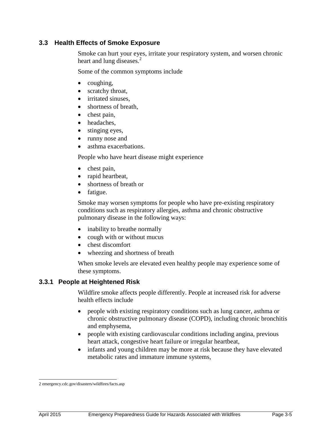#### <span id="page-9-0"></span>**3.3 Health Effects of Smoke Exposure**

Smoke can hurt your eyes, irritate your respiratory system, and worsen chronic heart and lung diseases.<sup>2</sup>

Some of the common symptoms include

- $\bullet$  coughing,
- scratchy throat,
- irritated sinuses,
- shortness of breath,
- chest pain,
- headaches.
- stinging eyes,
- runny nose and
- asthma exacerbations.

People who have heart disease might experience

- chest pain,
- rapid heartbeat,
- shortness of breath or
- fatigue.

Smoke may worsen symptoms for people who have pre-existing respiratory conditions such as respiratory allergies, asthma and chronic obstructive pulmonary disease in the following ways:

- inability to breathe normally
- cough with or without mucus
- chest discomfort
- wheezing and shortness of breath

When smoke levels are elevated even healthy people may experience some of these symptoms.

#### **3.3.1 People at Heightened Risk**

Wildfire smoke affects people differently. People at increased risk for adverse health effects include

- people with existing respiratory conditions such as lung cancer, asthma or chronic obstructive pulmonary disease (COPD), including chronic bronchitis and emphysema,
- people with existing cardiovascular conditions including angina, previous heart attack, congestive heart failure or irregular heartbeat,
- infants and young children may be more at risk because they have elevated metabolic rates and immature immune systems,

 2 emergency.cdc.gov/disasters/wildfires/facts.asp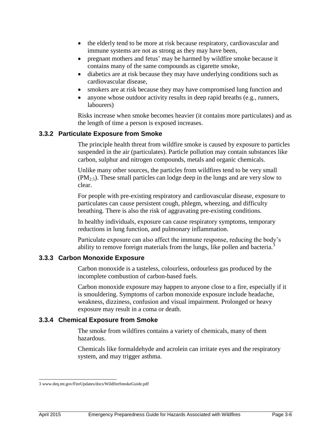- the elderly tend to be more at risk because respiratory, cardiovascular and immune systems are not as strong as they may have been,
- pregnant mothers and fetus' may be harmed by wildfire smoke because it contains many of the same compounds as cigarette smoke,
- diabetics are at risk because they may have underlying conditions such as cardiovascular disease,
- smokers are at risk because they may have compromised lung function and
- anyone whose outdoor activity results in deep rapid breaths (e.g., runners, labourers)

Risks increase when smoke becomes heavier (it contains more particulates) and as the length of time a person is exposed increases.

#### **3.3.2 Particulate Exposure from Smoke**

The principle health threat from wildfire smoke is caused by exposure to particles suspended in the air (particulates). Particle pollution may contain substances like carbon, sulphur and nitrogen compounds, metals and organic chemicals.

Unlike many other sources, the particles from wildfires tend to be very small (PM2.5). These small particles can lodge deep in the lungs and are very slow to clear.

For people with pre-existing respiratory and cardiovascular disease, exposure to particulates can cause persistent cough, phlegm, wheezing, and difficulty breathing. There is also the risk of aggravating pre-existing conditions.

In healthy individuals, exposure can cause respiratory symptoms, temporary reductions in lung function, and pulmonary inflammation.

Particulate exposure can also affect the immune response, reducing the body's ability to remove foreign materials from the lungs, like pollen and bacteria.<sup>3</sup>

#### **3.3.3 Carbon Monoxide Exposure**

Carbon monoxide is a tasteless, colourless, ordourless gas produced by the incomplete combustion of [carbon-](http://en.wikipedia.org/wiki/Carbon)based fuels.

Carbon monoxide exposure may happen to anyone close to a fire, especially if it is smouldering. Symptoms of carbon monoxide exposure include headache, weakness, dizziness, confusion and visual impairment. Prolonged or heavy exposure may result in a coma or death.

#### **3.3.4 Chemical Exposure from Smoke**

The smoke from wildfires contains a variety of chemicals, many of them hazardous.

Chemicals like formaldehyde and acrolein can irritate eyes and the respiratory system, and may trigger asthma.

 3 www.deq.mt.gov/FireUpdates/docs/WildfireSmokeGuide.pdf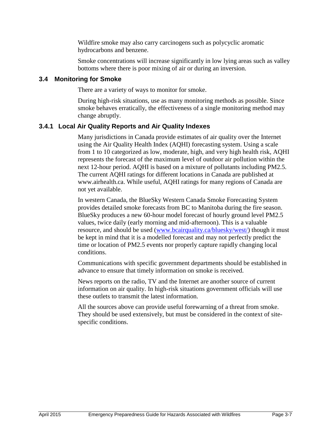Wildfire smoke may also carry carcinogens such as polycyclic aromatic hydrocarbons and benzene.

Smoke concentrations will increase significantly in low lying areas such as valley bottoms where there is poor mixing of air or during an inversion.

#### <span id="page-11-0"></span>**3.4 Monitoring for Smoke**

There are a variety of ways to monitor for smoke.

During high-risk situations, use as many monitoring methods as possible. Since smoke behaves erratically, the effectiveness of a single monitoring method may change abruptly.

#### **3.4.1 Local Air Quality Reports and Air Quality Indexes**

Many jurisdictions in Canada provide estimates of air quality over the Internet using the Air Quality Health Index (AQHI) forecasting system. Using a scale from 1 to 10 categorized as low, moderate, high, and very high health risk, AQHI represents the forecast of the maximum level of outdoor air pollution within the next 12-hour period. AQHI is based on a mixture of pollutants including PM2.5. The current AQHI ratings for different locations in Canada are published at [www.airhealth.ca.](http://www.airhealth.ca/) While useful, AQHI ratings for many regions of Canada are not yet available.

In western Canada, the BlueSky Western Canada Smoke Forecasting System provides detailed smoke forecasts from BC to Manitoba during the fire season. BlueSky produces a new 60-hour model forecast of hourly ground level PM2.5 values, twice daily (early morning and mid-afternoon). This is a valuable resource, and should be used [\(www.bcairquality.ca/bluesky/west/\)](http://www.bcairquality.ca/bluesky/west/) though it must be kept in mind that it is a modelled forecast and may not perfectly predict the time or location of PM2.5 events nor properly capture rapidly changing local conditions.

Communications with specific government departments should be established in advance to ensure that timely information on smoke is received.

News reports on the radio, TV and the Internet are another source of current information on air quality. In high-risk situations government officials will use these outlets to transmit the latest information.

All the sources above can provide useful forewarning of a threat from smoke. They should be used extensively, but must be considered in the context of sitespecific conditions.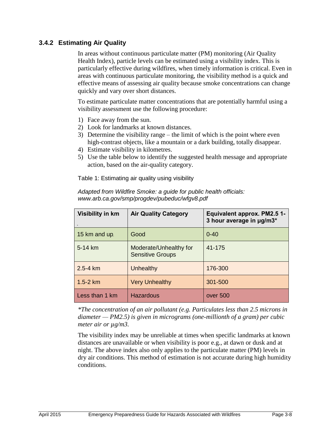#### **3.4.2 Estimating Air Quality**

In areas without continuous particulate matter (PM) monitoring (Air Quality Health Index), particle levels can be estimated using a visibility index. This is particularly effective during wildfires, when timely information is critical. Even in areas with continuous particulate monitoring, the visibility method is a quick and effective means of assessing air quality because smoke concentrations can change quickly and vary over short distances.

To estimate particulate matter concentrations that are potentially harmful using a visibility assessment use the following procedure:

- 1) Face away from the sun.
- 2) Look for landmarks at known distances.
- 3) Determine the visibility range the limit of which is the point where even high-contrast objects, like a mountain or a dark building, totally disappear.
- 4) Estimate visibility in kilometres.
- 5) Use the table below to identify the suggested health message and appropriate action, based on the air-quality category.

<span id="page-12-0"></span>Table 1: Estimating air quality using visibility

| Visibility in km    | <b>Air Quality Category</b>                       | Equivalent approx. PM2.5 1-<br>3 hour average in µg/m3* |
|---------------------|---------------------------------------------------|---------------------------------------------------------|
| 15 km and up.       | Good                                              | $0 - 40$                                                |
| $5-14 \; \text{km}$ | Moderate/Unhealthy for<br><b>Sensitive Groups</b> | 41-175                                                  |
| $2.5 - 4 km$        | Unhealthy                                         | 176-300                                                 |
| $1.5 - 2 km$        | <b>Very Unhealthy</b>                             | 301-500                                                 |
| Less than 1 km      | Hazardous                                         | over 500                                                |

*Adapted from Wildfire Smoke: a guide for public health officials: www.arb.ca.gov/smp/progdev/pubeduc/wfgv8.pdf*

*\*The concentration of an air pollutant (e.g. Particulates less than 2.5 microns in diameter — PM2.5) is given in micrograms (one-millionth of a gram) per cubic meter air or µg/m3.*

The visibility index may be unreliable at times when specific landmarks at known distances are unavailable or when visibility is poor e.g., at dawn or dusk and at night. The above index also only applies to the particulate matter (PM) levels in dry air conditions. This method of estimation is not accurate during high humidity conditions.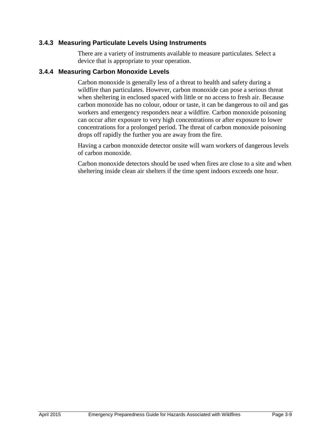#### **3.4.3 Measuring Particulate Levels Using Instruments**

There are a variety of instruments available to measure particulates. Select a device that is appropriate to your operation.

#### **3.4.4 Measuring Carbon Monoxide Levels**

Carbon monoxide is generally less of a threat to health and safety during a wildfire than particulates. However, carbon monoxide can pose a serious threat when sheltering in enclosed spaced with little or no access to fresh air. Because carbon monoxide has no colour, odour or taste, it can be dangerous to oil and gas workers and emergency responders near a wildfire. Carbon monoxide poisoning can occur after exposure to very high concentrations or after exposure to lower concentrations for a prolonged period. The threat of carbon monoxide poisoning drops off rapidly the further you are away from the fire.

Having a carbon monoxide detector onsite will warn workers of dangerous levels of carbon monoxide.

<span id="page-13-0"></span>Carbon monoxide detectors should be used when fires are close to a site and when sheltering inside clean air shelters if the time spent indoors exceeds one hour.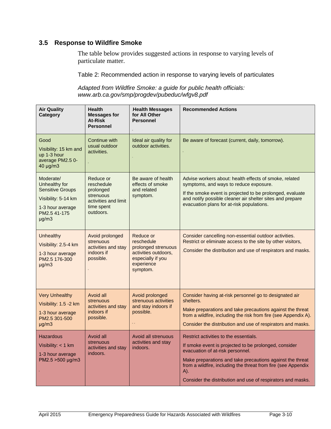#### <span id="page-14-0"></span>**3.5 Response to Wildfire Smoke**

The table below provides suggested actions in response to varying levels of particulate matter.

Table 2: Recommended action in response to varying levels of particulates

*Adapted from Wildfire Smoke: a guide for public health officials: www.arb.ca.gov/smp/progdev/pubeduc/wfgv8.pdf*

| <b>Air Quality</b><br>Category                                                                                                 | <b>Health</b><br><b>Messages for</b><br>At-Risk<br><b>Personnel</b>                                  | Health Messages<br>for All Other<br><b>Personnel</b>                                                                  | <b>Recommended Actions</b>                                                                                                                                                                                                                                                                                                              |
|--------------------------------------------------------------------------------------------------------------------------------|------------------------------------------------------------------------------------------------------|-----------------------------------------------------------------------------------------------------------------------|-----------------------------------------------------------------------------------------------------------------------------------------------------------------------------------------------------------------------------------------------------------------------------------------------------------------------------------------|
| Good<br>Visibility: 15 km and<br>up 1-3 hour<br>average PM2.5 0-<br>40 µg/m3                                                   | Continue with<br>usual outdoor<br>activities.                                                        | Ideal air quality for<br>outdoor activities.                                                                          | Be aware of forecast (current, daily, tomorrow).                                                                                                                                                                                                                                                                                        |
| Moderate/<br>Unhealthy for<br><b>Sensitive Groups</b><br>Visibility: 5-14 km<br>1-3 hour average<br>PM2.5 41-175<br>$\mu$ g/m3 | Reduce or<br>reschedule<br>prolonged<br>strenuous<br>activities and limit<br>time spent<br>outdoors. | Be aware of health<br>effects of smoke<br>and related<br>symptom.                                                     | Advise workers about: health effects of smoke, related<br>symptoms, and ways to reduce exposure.<br>If the smoke event is projected to be prolonged, evaluate<br>and notify possible cleaner air shelter sites and prepare<br>evacuation plans for at-risk populations.                                                                 |
| <b>Unhealthy</b><br>Visibility: 2.5-4 km<br>1-3 hour average<br>PM2.5 176-300<br>$\mu q/m3$                                    | Avoid prolonged<br>strenuous<br>activities and stay<br>indoors if<br>possible.                       | Reduce or<br>reschedule<br>prolonged strenuous<br>activities outdoors,<br>especially if you<br>experience<br>symptom. | Consider cancelling non-essential outdoor activities.<br>Restrict or eliminate access to the site by other visitors,<br>Consider the distribution and use of respirators and masks.                                                                                                                                                     |
| <b>Very Unhealthy</b><br>Visibility: 1.5 -2 km<br>1-3 hour average<br>PM2.5 301-500<br>$\mu$ g/m3                              | Avoid all<br>strenuous<br>activities and stay<br>indoors if<br>possible.                             | Avoid prolonged<br>strenuous activities<br>and stay indoors if<br>possible.                                           | Consider having at-risk personnel go to designated air<br>shelters.<br>Make preparations and take precautions against the threat<br>from a wildfire, including the risk from fire (see Appendix A).<br>Consider the distribution and use of respirators and masks.                                                                      |
| <b>Hazardous</b><br>Visibility: $<$ 1 km<br>1-3 hour average<br>PM2.5 >500 µg/m3                                               | Avoid all<br>strenuous<br>activities and stay<br>indoors.                                            | Avoid all strenuous<br>activities and stay<br>indoors.                                                                | Restrict activities to the essentials.<br>If smoke event is projected to be prolonged, consider<br>evacuation of at-risk personnel.<br>Make preparations and take precautions against the threat<br>from a wildfire, including the threat from fire (see Appendix<br>A).<br>Consider the distribution and use of respirators and masks. |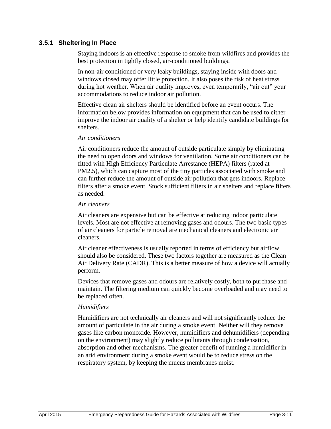#### **3.5.1 Sheltering In Place**

Staying indoors is an effective response to smoke from wildfires and provides the best protection in tightly closed, air-conditioned buildings.

In non-air conditioned or very leaky buildings, staying inside with doors and windows closed may offer little protection. It also poses the risk of heat stress during hot weather. When air quality improves, even temporarily, "air out" your accommodations to reduce indoor air pollution.

Effective clean air shelters should be identified before an event occurs. The information below provides information on equipment that can be used to either improve the indoor air quality of a shelter or help identify candidate buildings for shelters.

#### *Air conditioners*

Air conditioners reduce the amount of outside particulate simply by eliminating the need to open doors and windows for ventilation. Some air conditioners can be fitted with High Efficiency Particulate Arrestance (HEPA) filters (rated at PM2.5), which can capture most of the tiny particles associated with smoke and can further reduce the amount of outside air pollution that gets indoors. Replace filters after a smoke event. Stock sufficient filters in air shelters and replace filters as needed.

#### *Air cleaners*

Air cleaners are expensive but can be effective at reducing indoor particulate levels. Most are not effective at removing gases and odours. The two basic types of air cleaners for particle removal are mechanical cleaners and electronic air cleaners.

Air cleaner effectiveness is usually reported in terms of efficiency but airflow should also be considered. These two factors together are measured as the Clean Air Delivery Rate (CADR). This is a better measure of how a device will actually perform.

Devices that remove gases and odours are relatively costly, both to purchase and maintain. The filtering medium can quickly become overloaded and may need to be replaced often.

#### *Humidifiers*

Humidifiers are not technically air cleaners and will not significantly reduce the amount of particulate in the air during a smoke event. Neither will they remove gases like carbon monoxide. However, humidifiers and dehumidifiers (depending on the environment) may slightly reduce pollutants through condensation, absorption and other mechanisms. The greater benefit of running a humidifier in an arid environment during a smoke event would be to reduce stress on the respiratory system, by keeping the mucus membranes moist.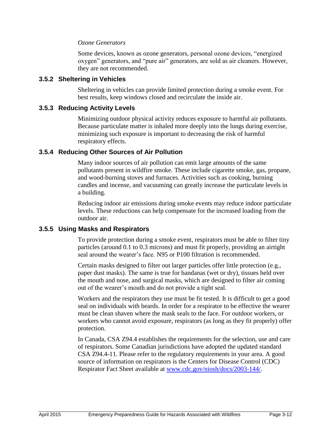#### *Ozone Generators*

Some devices, known as ozone generators, personal ozone devices, "energized oxygen" generators, and "pure air" generators, are sold as air cleaners. However, they are not recommended.

#### **3.5.2 Sheltering in Vehicles**

Sheltering in vehicles can provide limited protection during a smoke event. For best results, keep windows closed and recirculate the inside air.

#### **3.5.3 Reducing Activity Levels**

Minimizing outdoor physical activity reduces exposure to harmful air pollutants. Because particulate matter is inhaled more deeply into the lungs during exercise, minimizing such exposure is important to decreasing the risk of harmful respiratory effects.

#### **3.5.4 Reducing Other Sources of Air Pollution**

Many indoor sources of air pollution can emit large amounts of the same pollutants present in wildfire smoke. These include cigarette smoke, gas, propane, and wood-burning stoves and furnaces. Activities such as cooking, burning candles and incense, and vacuuming can greatly increase the particulate levels in a building.

Reducing indoor air emissions during smoke events may reduce indoor particulate levels. These reductions can help compensate for the increased loading from the outdoor air.

#### **3.5.5 Using Masks and Respirators**

To provide protection during a smoke event, respirators must be able to filter tiny particles (around 0.1 to 0.3 microns) and must fit properly, providing an airtight seal around the wearer's face. N95 or P100 filtration is recommended.

Certain masks designed to filter out larger particles offer little protection (e.g., paper dust masks). The same is true for bandanas (wet or dry), tissues held over the mouth and nose, and surgical masks, which are designed to filter air coming out of the wearer's mouth and do not provide a tight seal.

Workers and the respirators they use must be fit tested. It is difficult to get a good seal on individuals with beards. In order for a respirator to be effective the wearer must be clean shaven where the mask seals to the face. For outdoor workers, or workers who cannot avoid exposure, respirators (as long as they fit properly) offer protection.

In Canada, CSA Z94.4 establishes the requirements for the selection, use and care of respirators. Some Canadian jurisdictions have adopted the updated standard CSA Z94.4-11. Please refer to the regulatory requirements in your area. A good source of information on respirators is the Centers for Disease Control (CDC) Respirator Fact Sheet available at [www.cdc.gov/niosh/docs/2003-144/.](http://www.cdc.gov/niosh/docs/2003-144/)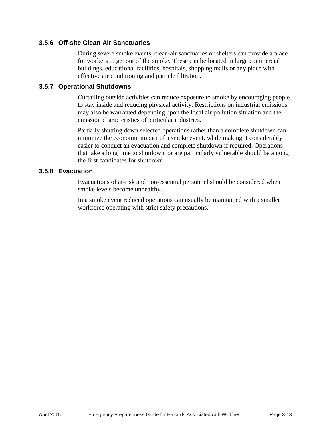#### **3.5.6 Off-site Clean Air Sanctuaries**

During severe smoke events, clean-air sanctuaries or shelters can provide a place for workers to get out of the smoke. These can be located in large commercial buildings, educational facilities, hospitals, shopping malls or any place with effective air conditioning and particle filtration.

#### **3.5.7 Operational Shutdowns**

Curtailing outside activities can reduce exposure to smoke by encouraging people to stay inside and reducing physical activity. Restrictions on industrial emissions may also be warranted depending upon the local air pollution situation and the emission characteristics of particular industries.

Partially shutting down selected operations rather than a complete shutdown can minimize the economic impact of a smoke event, while making it considerably easier to conduct an evacuation and complete shutdown if required. Operations that take a long time to shutdown, or are particularly vulnerable should be among the first candidates for shutdown.

#### **3.5.8 Evacuation**

Evacuations of at-risk and non-essential personnel should be considered when smoke levels become unhealthy.

In a smoke event reduced operations can usually be maintained with a smaller workforce operating with strict safety precautions.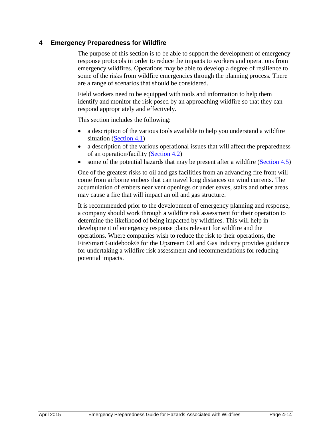#### <span id="page-18-0"></span>**4 Emergency Preparedness for Wildfire**

The purpose of this section is to be able to support the development of emergency response protocols in order to reduce the impacts to workers and operations from emergency wildfires. Operations may be able to develop a degree of resilience to some of the risks from wildfire emergencies through the planning process. There are a range of scenarios that should be considered.

Field workers need to be equipped with tools and information to help them identify and monitor the risk posed by an approaching wildfire so that they can respond appropriately and effectively.

This section includes the following:

- a description of the various tools available to help you understand a wildfire situation [\(Section 4.1\)](#page-19-0)
- a description of the various operational issues that will affect the preparedness of an operation/facility [\(Section 4.2\)](#page-21-0)
- some of the potential hazards that may be present after a wildfire  $(Section 4.5)$  $(Section 4.5)$

One of the greatest risks to oil and gas facilities from an advancing fire front will come from airborne embers that can travel long distances on wind currents. The accumulation of embers near vent openings or under eaves, stairs and other areas may cause a fire that will impact an oil and gas structure.

It is recommended prior to the development of emergency planning and response, a company should work through a wildfire risk assessment for their operation to determine the likelihood of being impacted by wildfires. This will help in development of emergency response plans relevant for wildfire and the operations. Where companies wish to reduce the risk to their operations, the FireSmart Guidebook® for the Upstream Oil and Gas Industry provides guidance for undertaking a wildfire risk assessment and recommendations for reducing potential impacts.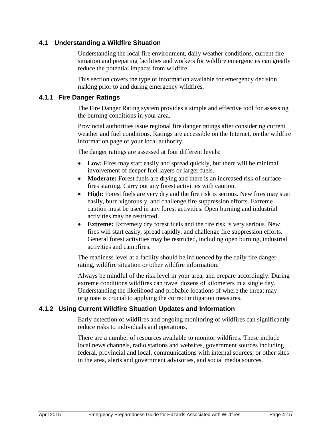#### <span id="page-19-0"></span>**4.1 Understanding a Wildfire Situation**

Understanding the local fire environment, daily weather conditions, current fire situation and preparing facilities and workers for wildfire emergencies can greatly reduce the potential impacts from wildfire.

This section covers the type of information available for emergency decision making prior to and during emergency wildfires.

#### **4.1.1 Fire Danger Ratings**

The Fire Danger Rating system provides a simple and effective tool for assessing the burning conditions in your area.

Provincial authorities issue regional fire danger ratings after considering current weather and fuel conditions. Ratings are accessible on the Internet, on the wildfire information page of your local authority.

The danger ratings are assessed at four different levels:

- **Low:** Fires may start easily and spread quickly, but there will be minimal involvement of deeper fuel layers or larger fuels.
- **Moderate:** Forest fuels are drying and there is an increased risk of surface fires starting. Carry out any forest activities with caution.
- **High:** Forest fuels are very dry and the fire risk is serious. New fires may start easily, burn vigorously, and challenge fire suppression efforts. Extreme caution must be used in any forest activities. Open burning and industrial activities may be restricted.
- **Extreme:** Extremely dry forest fuels and the fire risk is very serious. New fires will start easily, spread rapidly, and challenge fire suppression efforts. General forest activities may be restricted, including open burning, industrial activities and campfires.

The readiness level at a facility should be influenced by the daily fire danger rating, wildfire situation or other wildfire information.

Always be mindful of the risk level in your area, and prepare accordingly. During extreme conditions wildfires can travel dozens of kilometers in a single day. Understanding the likelihood and probable locations of where the threat may originate is crucial to applying the correct mitigation measures.

#### **4.1.2 Using Current Wildfire Situation Updates and Information**

Early detection of wildfires and ongoing monitoring of wildfires can significantly reduce risks to individuals and operations.

There are a number of resources available to monitor wildfires. These include local news channels, radio stations and websites, government sources including federal, provincial and local, communications with internal sources, or other sites in the area, alerts and government advisories, and social media sources.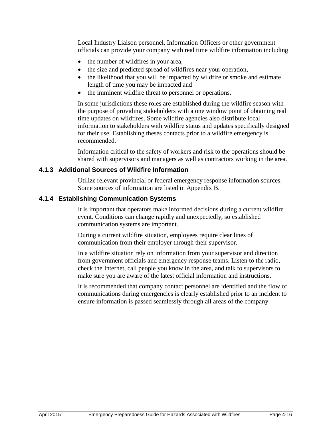Local Industry Liaison personnel, Information Officers or other government officials can provide your company with real time wildfire information including

- the number of wildfires in your area,
- the size and predicted spread of wildfires near your operation,
- the likelihood that you will be impacted by wildfire or smoke and estimate length of time you may be impacted and
- the imminent wildfire threat to personnel or operations.

In some jurisdictions these roles are established during the wildfire season with the purpose of providing stakeholders with a one window point of obtaining real time updates on wildfires. Some wildfire agencies also distribute local information to stakeholders with wildfire status and updates specifically designed for their use. Establishing theses contacts prior to a wildfire emergency is recommended.

Information critical to the safety of workers and risk to the operations should be shared with supervisors and managers as well as contractors working in the area.

#### **4.1.3 Additional Sources of Wildfire Information**

Utilize relevant provincial or federal emergency response information sources. Some sources of information are listed in Appendix B.

#### **4.1.4 Establishing Communication Systems**

It is important that operators make informed decisions during a current wildfire event. Conditions can change rapidly and unexpectedly, so established communication systems are important.

During a current wildfire situation, employees require clear lines of communication from their employer through their supervisor.

In a wildfire situation rely on information from your supervisor and direction from government officials and emergency response teams. Listen to the radio, check the Internet, call people you know in the area, and talk to supervisors to make sure you are aware of the latest official information and instructions.

It is recommended that company contact personnel are identified and the flow of communications during emergencies is clearly established prior to an incident to ensure information is passed seamlessly through all areas of the company.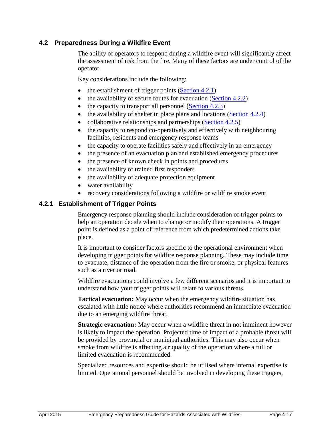#### <span id="page-21-0"></span>**4.2 Preparedness During a Wildfire Event**

The ability of operators to respond during a wildfire event will significantly affect the assessment of risk from the fire. Many of these factors are under control of the operator.

Key considerations include the following:

- $\bullet$  the establishment of trigger points [\(Section 4.2.1\)](#page-21-1)
- $\bullet$  the availability of secure routes for evacuation [\(Section 4.2.2\)](#page-22-0)
- $\bullet$  the capacity to transport all personnel [\(Section 4.2.3\)](#page-23-1)
- $\bullet$  the availability of shelter in place plans and locations [\(Section 4.2.4\)](#page-23-2)
- collaborative relationships and partnerships  $(Section 4.2.5)$
- the capacity to respond co-operatively and effectively with neighbouring facilities, residents and emergency response teams
- the capacity to operate facilities safely and effectively in an emergency
- the presence of an evacuation plan and established emergency procedures
- the presence of known check in points and procedures
- the availability of trained first responders
- the availability of adequate protection equipment
- water availability
- recovery considerations following a wildfire or wildfire smoke event

#### <span id="page-21-1"></span>**4.2.1 Establishment of Trigger Points**

Emergency response planning should include consideration of trigger points to help an operation decide when to change or modify their operations. A trigger point is defined as a point of reference from which predetermined actions take place.

It is important to consider factors specific to the operational environment when developing trigger points for wildfire response planning. These may include time to evacuate, distance of the operation from the fire or smoke, or physical features such as a river or road.

Wildfire evacuations could involve a few different scenarios and it is important to understand how your trigger points will relate to various threats.

**Tactical evacuation:** May occur when the emergency wildfire situation has escalated with little notice where authorities recommend an immediate evacuation due to an emerging wildfire threat.

**Strategic evacuation:** May occur when a wildfire threat in not imminent however is likely to impact the operation. Projected time of impact of a probable threat will be provided by provincial or municipal authorities. This may also occur when smoke from wildfire is affecting air quality of the operation where a full or limited evacuation is recommended.

Specialized resources and expertise should be utilised where internal expertise is limited. Operational personnel should be involved in developing these triggers,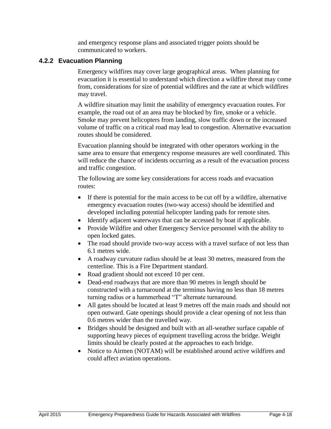and emergency response plans and associated trigger points should be communicated to workers.

#### <span id="page-22-0"></span>**4.2.2 Evacuation Planning**

Emergency wildfires may cover large geographical areas. When planning for evacuation it is essential to understand which direction a wildfire threat may come from, considerations for size of potential wildfires and the rate at which wildfires may travel.

A wildfire situation may limit the usability of emergency evacuation routes. For example, the road out of an area may be blocked by fire, smoke or a vehicle. Smoke may prevent helicopters from landing, slow traffic down or the increased volume of traffic on a critical road may lead to congestion. Alternative evacuation routes should be considered.

Evacuation planning should be integrated with other operators working in the same area to ensure that emergency response measures are well coordinated. This will reduce the chance of incidents occurring as a result of the evacuation process and traffic congestion.

The following are some key considerations for access roads and evacuation routes:

- If there is potential for the main access to be cut off by a wildfire, alternative emergency evacuation routes (two-way access) should be identified and developed including potential helicopter landing pads for remote sites.
- Identify adjacent waterways that can be accessed by boat if applicable.
- Provide Wildfire and other Emergency Service personnel with the ability to open locked gates.
- The road should provide two-way access with a travel surface of not less than 6.1 metres wide.
- A roadway curvature radius should be at least 30 metres, measured from the centerline. This is a Fire Department standard.
- Road gradient should not exceed 10 per cent.
- Dead-end roadways that are more than 90 metres in length should be constructed with a turnaround at the terminus having no less than 18 metres turning radius or a hammerhead "T" alternate turnaround.
- All gates should be located at least 9 metres off the main roads and should not open outward. Gate openings should provide a clear opening of not less than 0.6 metres wider than the travelled way.
- Bridges should be designed and built with an all-weather surface capable of supporting heavy pieces of equipment travelling across the bridge. Weight limits should be clearly posted at the approaches to each bridge.
- Notice to Airmen (NOTAM) will be established around active wildfires and could affect aviation operations.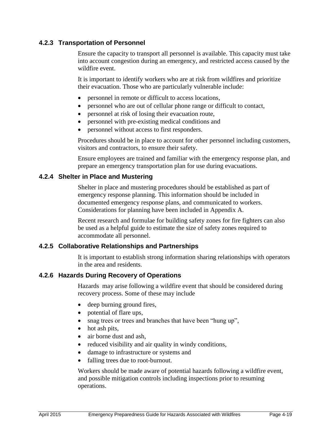#### <span id="page-23-1"></span>**4.2.3 Transportation of Personnel**

Ensure the capacity to transport all personnel is available. This capacity must take into account congestion during an emergency, and restricted access caused by the wildfire event.

It is important to identify workers who are at risk from wildfires and prioritize their evacuation. Those who are particularly vulnerable include:

- personnel in remote or difficult to access locations,
- personnel who are out of cellular phone range or difficult to contact,
- personnel at risk of losing their evacuation route,
- personnel with pre-existing medical conditions and
- personnel without access to first responders.

Procedures should be in place to account for other personnel including customers, visitors and contractors, to ensure their safety.

Ensure employees are trained and familiar with the emergency response plan, and prepare an emergency transportation plan for use during evacuations.

#### <span id="page-23-2"></span>**4.2.4 Shelter in Place and Mustering**

Shelter in place and mustering procedures should be established as part of emergency response planning. This information should be included in documented emergency response plans, and communicated to workers. Considerations for planning have been included in Appendix A.

Recent research and formulae for building safety zones for fire fighters can also be used as a helpful guide to estimate the size of safety zones required to accommodate all personnel.

#### <span id="page-23-3"></span>**4.2.5 Collaborative Relationships and Partnerships**

It is important to establish strong information sharing relationships with operators in the area and residents.

#### <span id="page-23-0"></span>**4.2.6 Hazards During Recovery of Operations**

Hazards may arise following a wildfire event that should be considered during recovery process. Some of these may include

- deep burning ground fires,
- potential of flare ups,
- snag trees or trees and branches that have been "hung up",
- hot ash pits,
- air borne dust and ash,
- reduced visibility and air quality in windy conditions,
- damage to infrastructure or systems and
- falling trees due to root-burnout.

Workers should be made aware of potential hazards following a wildfire event, and possible mitigation controls including inspections prior to resuming operations.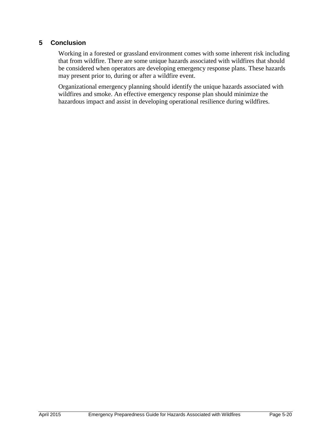#### **5 Conclusion**

Working in a forested or grassland environment comes with some inherent risk including that from wildfire. There are some unique hazards associated with wildfires that should be considered when operators are developing emergency response plans. These hazards may present prior to, during or after a wildfire event.

Organizational emergency planning should identify the unique hazards associated with wildfires and smoke. An effective emergency response plan should minimize the hazardous impact and assist in developing operational resilience during wildfires.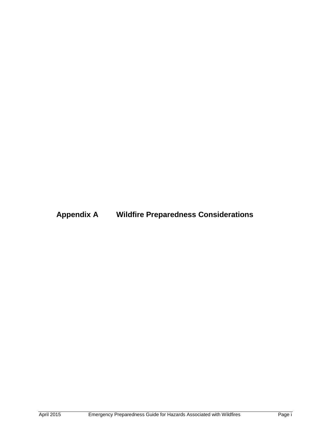**Appendix A Wildfire Preparedness Considerations**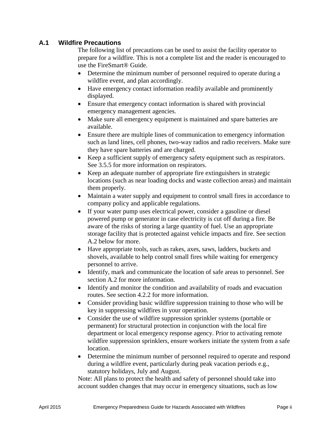#### **A.1 Wildfire Precautions**

The following list of precautions can be used to assist the facility operator to prepare for a wildfire. This is not a complete list and the reader is encouraged to use the FireSmart® Guide.

- Determine the minimum number of personnel required to operate during a wildfire event, and plan accordingly.
- Have emergency contact information readily available and prominently displayed.
- Ensure that emergency contact information is shared with provincial emergency management agencies.
- Make sure all emergency equipment is maintained and spare batteries are available.
- Ensure there are multiple lines of communication to emergency information such as land lines, cell phones, two-way radios and radio receivers. Make sure they have spare batteries and are charged.
- Keep a sufficient supply of emergency safety equipment such as respirators. See 3.5.5 for more information on respirators.
- Keep an adequate number of appropriate fire extinguishers in strategic locations (such as near loading docks and waste collection areas) and maintain them properly.
- Maintain a water supply and equipment to control small fires in accordance to company policy and applicable regulations.
- If your water pump uses electrical power, consider a gasoline or diesel powered pump or generator in case electricity is cut off during a fire. Be aware of the risks of storing a large quantity of fuel. Use an appropriate storage facility that is protected against vehicle impacts and fire. See section A.2 below for more.
- Have appropriate tools, such as rakes, axes, saws, ladders, buckets and shovels, available to help control small fires while waiting for emergency personnel to arrive.
- Identify, mark and communicate the location of safe areas to personnel. See section A.2 for more information.
- Identify and monitor the condition and availability of roads and evacuation routes. See section 4.2.2 for more information.
- Consider providing basic wildfire suppression training to those who will be key in suppressing wildfires in your operation.
- Consider the use of wildfire suppression sprinkler systems (portable or permanent) for structural protection in conjunction with the local fire department or local emergency response agency. Prior to activating remote wildfire suppression sprinklers, ensure workers initiate the system from a safe location.
- Determine the minimum number of personnel required to operate and respond during a wildfire event, particularly during peak vacation periods e.g., statutory holidays, July and August.

Note: All plans to protect the health and safety of personnel should take into account sudden changes that may occur in emergency situations, such as low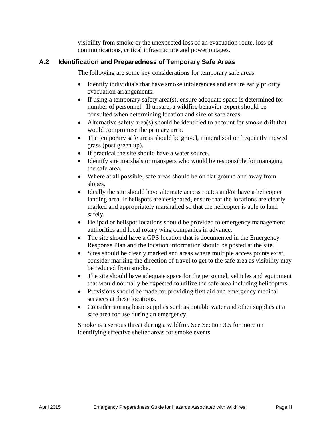visibility from smoke or the unexpected loss of an evacuation route, loss of communications, critical infrastructure and power outages.

#### **A.2 Identification and Preparedness of Temporary Safe Areas**

The following are some key considerations for temporary safe areas:

- Identify individuals that have smoke intolerances and ensure early priority evacuation arrangements.
- If using a temporary safety area(s), ensure adequate space is determined for number of personnel. If unsure, a wildfire behavior expert should be consulted when determining location and size of safe areas.
- Alternative safety area(s) should be identified to account for smoke drift that would compromise the primary area.
- The temporary safe areas should be gravel, mineral soil or frequently mowed grass (post green up).
- If practical the site should have a water source.
- Identify site marshals or managers who would be responsible for managing the safe area.
- Where at all possible, safe areas should be on flat ground and away from slopes.
- Ideally the site should have alternate access routes and/or have a helicopter landing area. If helispots are designated, ensure that the locations are clearly marked and appropriately marshalled so that the helicopter is able to land safely.
- Helipad or helispot locations should be provided to emergency management authorities and local rotary wing companies in advance.
- The site should have a GPS location that is documented in the Emergency Response Plan and the location information should be posted at the site.
- Sites should be clearly marked and areas where multiple access points exist, consider marking the direction of travel to get to the safe area as visibility may be reduced from smoke.
- The site should have adequate space for the personnel, vehicles and equipment that would normally be expected to utilize the safe area including helicopters.
- Provisions should be made for providing first aid and emergency medical services at these locations.
- Consider storing basic supplies such as potable water and other supplies at a safe area for use during an emergency.

Smoke is a serious threat during a wildfire. See Section 3.5 for more on identifying effective shelter areas for smoke events.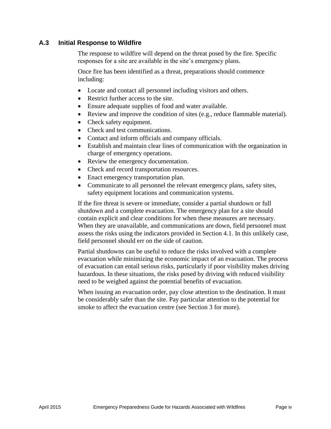#### **A.3 Initial Response to Wildfire**

The response to wildfire will depend on the threat posed by the fire. Specific responses for a site are available in the site's emergency plans.

Once fire has been identified as a threat, preparations should commence including:

- Locate and contact all personnel including visitors and others.
- Restrict further access to the site.
- Ensure adequate supplies of food and water available.
- Review and improve the condition of sites (e.g., reduce flammable material).
- Check safety equipment.
- Check and test communications.
- Contact and inform officials and company officials.
- Establish and maintain clear lines of communication with the organization in charge of emergency operations.
- Review the emergency documentation.
- Check and record transportation resources.
- Enact emergency transportation plan.
- Communicate to all personnel the relevant emergency plans, safety sites, safety equipment locations and communication systems.

If the fire threat is severe or immediate, consider a partial shutdown or full shutdown and a complete evacuation. The emergency plan for a site should contain explicit and clear conditions for when these measures are necessary. When they are unavailable, and communications are down, field personnel must assess the risks using the indicators provided in Section 4.1. In this unlikely case, field personnel should err on the side of caution.

Partial shutdowns can be useful to reduce the risks involved with a complete evacuation while minimizing the economic impact of an evacuation. The process of evacuation can entail serious risks, particularly if poor visibility makes driving hazardous. In these situations, the risks posed by driving with reduced visibility need to be weighed against the potential benefits of evacuation.

When issuing an evacuation order, pay close attention to the destination. It must be considerably safer than the site. Pay particular attention to the potential for smoke to affect the evacuation centre (see Section 3 for more).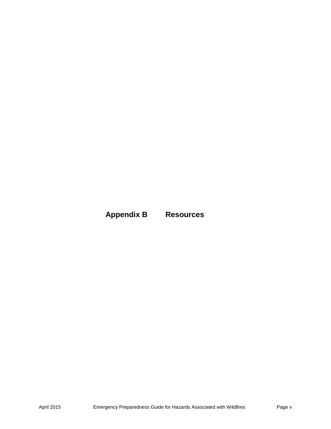## **Appendix B Resources**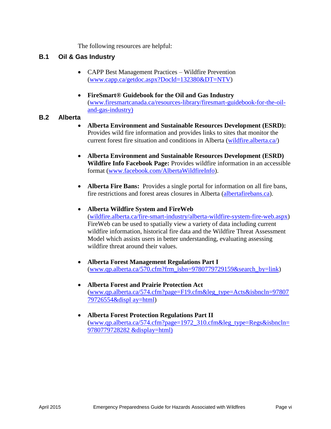The following resources are helpful:

#### **B.1 Oil & Gas Industry**

- CAPP Best Management Practices Wildfire Prevention [\(www.capp.ca/getdoc.aspx?DocId=132380&DT=NTV\)](http://www.capp.ca/getdoc.aspx?DocId=132380&DT=NTV)
- **FireSmart® Guidebook for the Oil and Gas Industry**  [\(www.firesmartcanada.ca/resources-library/firesmart-guidebook-for-the-oil](http://www.firesmartcanada.ca/resources-library/firesmart-guidebook-for-the-oil-and-gas-industry))[and-gas-industry\)](http://www.firesmartcanada.ca/resources-library/firesmart-guidebook-for-the-oil-and-gas-industry))

#### **B.2 Alberta**

- **Alberta Environment and Sustainable Resources Development (ESRD):** Provides wild fire information and provides links to sites that monitor the current forest fire situation and conditions in Alberta [\(wildfire.alberta.ca/\)](http://wildfire.alberta.ca/)
- **Alberta Environment and Sustainable Resources Development (ESRD) Wildfire Info Facebook Page:** Provides wildfire information in an accessible format [\(www.facebook.com/AlbertaWildfireInfo\)](http://www.facebook.com/AlbertaWildfireInfo).
- **Alberta Fire Bans:** Provides a single portal for information on all fire bans, fire restrictions and forest areas closures in Alberta [\(albertafirebans.ca\)](https://albertafirebans.ca/).
- **Alberta Wildfire System and FireWeb** [\(wildfire.alberta.ca/fire-smart-industry/alberta-wildfire-system-fire-web.aspx\)](http://wildfire.alberta.ca/fire-smart-industry/alberta-wildfire-system-fire-web.aspx) FireWeb can be used to spatially view a variety of data including current wildfire information, historical fire data and the Wildfire Threat Assessment Model which assists users in better understanding, evaluating assessing wildfire threat around their values.
- **Alberta Forest Management Regulations Part I**  [\(www.qp.alberta.ca/570.cfm?frm\\_isbn=9780779729159&search\\_by=link\)](http://www.qp.alberta.ca/570.cfm?frm_isbn=9780779729159&search_by=link)
- **Alberta Forest and Prairie Protection Act** [\(www.qp.alberta.ca/574.cfm?page=F19.cfm&leg\\_type=Acts&isbncln=97807](http://www.qp.alberta.ca/574.cfm?page=F19.cfm&leg_type=Acts&isbncln=9780779726554&displ%20ay=html) [79726554&displ ay=html\)](http://www.qp.alberta.ca/574.cfm?page=F19.cfm&leg_type=Acts&isbncln=9780779726554&displ%20ay=html)
- **Alberta Forest Protection Regulations Part II**  [\(www.qp.alberta.ca/574.cfm?page=1972\\_310.cfm&leg\\_type=Regs&isbncln=](http://www.qp.alberta.ca/574.cfm?page=1972_310.cfm&leg_type=Regs&isbncln=9780779728282%20&display=html)) [9780779728282 &display=html\)](http://www.qp.alberta.ca/574.cfm?page=1972_310.cfm&leg_type=Regs&isbncln=9780779728282%20&display=html))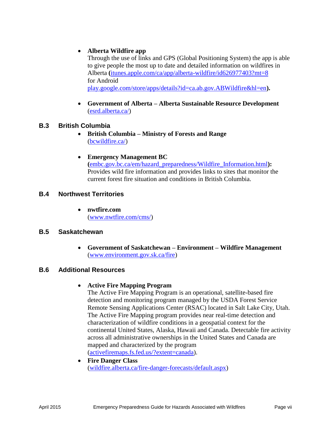#### **Alberta Wildfire app**

Through the use of links and GPS (Global Positioning System) the app is able to give people the most up to date and detailed information on wildfires in Alberta **(**[itunes.apple.com/ca/app/alberta-wildfire/id626977403?mt=8](https://itunes.apple.com/ca/app/alberta-wildfire/id626977403?mt=8) for Android [play.google.com/store/apps/details?id=ca.ab.gov.ABWildfire&hl=en](https://play.google.com/store/apps/details?id=ca.ab.gov.ABWildfire&hl=en)**).** 

 **Government of Alberta – Alberta Sustainable Resource Development**  [\(esrd.alberta.ca/\)](http://esrd.alberta.ca/)

#### **B.3 British Columbia**

- **British Columbia – Ministry of Forests and Range**  [\(bcwildfire.ca/\)](http://bcwildfire.ca/)
- **Emergency Management BC (**[embc.gov.bc.ca/em/hazard\\_preparedness/Wildfire\\_Information.html](http://embc.gov.bc.ca/em/hazard_preparedness/Wildfire_Information.html)**):**  Provides wild fire information and provides links to sites that monitor the current forest fire situation and conditions in British Columbia.

#### **B.4 Northwest Territories**

 **nwtfire.com** [\(www.nwtfire.com/cms/\)](http://www.nwtfire.com/cms/)

#### **B.5 Saskatchewan**

 **Government of Saskatchewan – Environment – Wildfire Management** [\(www.environment.gov.sk.ca/fire\)](http://www.environment.gov.sk.ca/fire)

#### **B.6 Additional Resources**

#### **Active Fire Mapping Program**

The Active Fire Mapping Program is an operational, satellite-based fire detection and monitoring program managed by the USDA Forest Service Remote Sensing Applications Center (RSAC) located in Salt Lake City, Utah. The Active Fire Mapping program provides near real-time detection and characterization of wildfire conditions in a geospatial context for the continental United States, Alaska, Hawaii and Canada. Detectable fire activity across all administrative ownerships in the United States and Canada are mapped and characterized by the program [\(activefiremaps.fs.fed.us/?extent=canada\)](http://activefiremaps.fs.fed.us/?extent=canada).

 **Fire Danger Class** [\(wildfire.alberta.ca/fire-danger-forecasts/default.aspx\)](http://wildfire.alberta.ca/fire-danger-forecasts/default.aspx)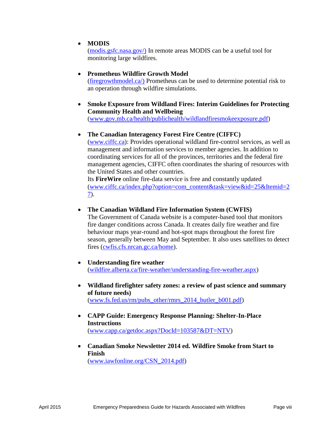#### **MODIS**

[\(modis.gsfc.nasa.gov/\)](http://modis.gsfc.nasa.gov/) In remote areas MODIS can be a useful tool for monitoring large wildfires.

### **Prometheus Wildfire Growth Model**

[\(firegrowthmodel.ca/\)](http://firegrowthmodel.ca/) Prometheus can be used to determine potential risk to an operation through wildfire simulations.

 **[Smoke Exposure from Wildland Fires: Interim Guidelines for Protecting](http://www.gov.mb.ca/health/publichealth/wildlandfiresmokeexposure.pdf)  [Community Health and Wellbeing](http://www.gov.mb.ca/health/publichealth/wildlandfiresmokeexposure.pdf)**

[\(www.gov.mb.ca/health/publichealth/wildlandfiresmokeexposure.pdf\)](http://www.gov.mb.ca/health/publichealth/wildlandfiresmokeexposure.pdf)

#### **The Canadian Interagency Forest Fire Centre (CIFFC)**

[\(www.ciffc.ca\)](http://www.ciffc.ca/): Provides operational wildland fire-control services, as well as management and information services to member agencies. In addition to coordinating services for all of the provinces, territories and the federal fire management agencies, CIFFC often coordinates the sharing of resources with the United States and other countries.

Its **FireWire** online fire-data service is free and constantly updated [\(www.ciffc.ca/index.php?option=com\\_content&task=view&id=25&Itemid=2](http://www.ciffc.ca/index.php?option=com_content&task=view&id=25&Itemid=27) [7\)](http://www.ciffc.ca/index.php?option=com_content&task=view&id=25&Itemid=27).

#### **The Canadian Wildland Fire Information System (CWFIS)**

The Government of Canada website is a computer-based tool that monitors fire danger conditions across Canada. It creates daily fire weather and fire behaviour maps year-round and hot-spot maps throughout the forest fire season, generally between May and September. It also uses satellites to detect fires [\(cwfis.cfs.nrcan.gc.ca/home\)](http://cwfis.cfs.nrcan.gc.ca/home).

- **Understanding fire weather**  [\(wildfire.alberta.ca/fire-weather/understanding-fire-weather.aspx\)](http://wildfire.alberta.ca/fire-weather/understanding-fire-weather.aspx)
- **Wildland firefighter safety zones: a review of past science and summary of future needs)** [\(www.fs.fed.us/rm/pubs\\_other/rmrs\\_2014\\_butler\\_b001.pdf\)](http://www.fs.fed.us/rm/pubs_other/rmrs_2014_butler_b001.pdf)
- **CAPP Guide: Emergency Response Planning: Shelter-In-Place Instructions** [\(www.capp.ca/getdoc.aspx?DocId=103587&DT=NTV\)](http://www.capp.ca/getdoc.aspx?DocId=103587&DT=NTV)
- **Canadian Smoke Newsletter 2014 ed. Wildfire Smoke from Start to Finish** [\(www.iawfonline.org/CSN\\_2014.pdf\)](http://www.iawfonline.org/CSN_2014.pdf)